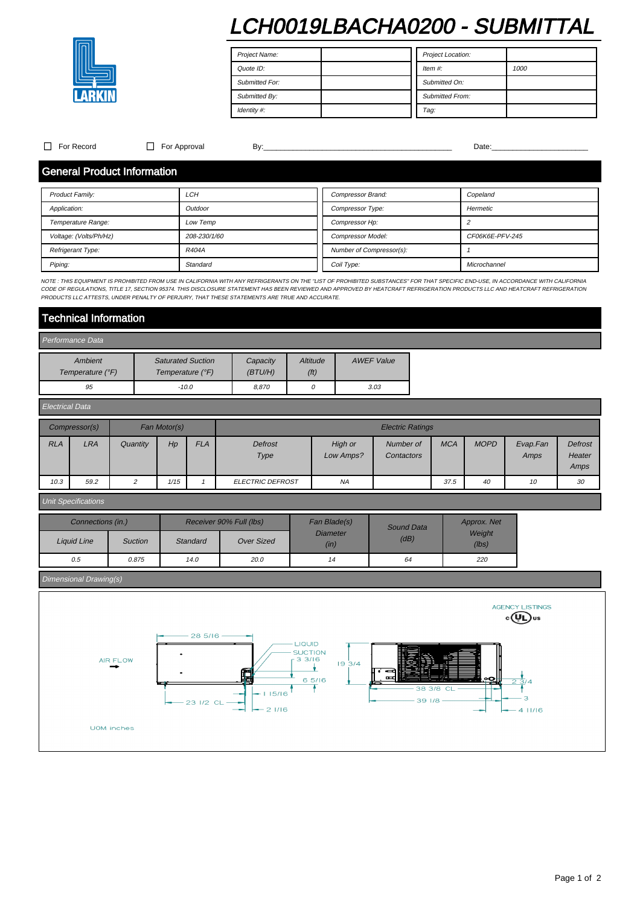# LCH0019LBACHA0200 - SUBMITTAL



Project Name: Quote ID: Submitted For: Submitted By: Identity #: Project Location: Item #: 1000 Submitted On: Submitted From: Tag:

 $\Box$  For Record  $\Box$  For Approval By:  $\Box$  By:  $\Box$   $\Box$   $\Box$   $\Box$   $\Box$  Date:

### General Product Information

| <b>Product Family:</b> | <b>LCH</b>   | Compressor Brand:        | Copeland        |  |  |
|------------------------|--------------|--------------------------|-----------------|--|--|
| Application:           | Outdoor      | Compressor Type:         | Hermetic        |  |  |
| Temperature Range:     | Low Temp     | Compressor Hp:           |                 |  |  |
| Voltage: (Volts/Ph/Hz) | 208-230/1/60 | <b>Compressor Model:</b> | CF06K6E-PFV-245 |  |  |
| Refrigerant Type:      | <b>R404A</b> | Number of Compressor(s): |                 |  |  |
| Piping:                | Standard     | Coil Type:               | Microchannel    |  |  |

NOTE : THIS EQUIPMENT IS PROHIBITED FROM USE IN CALIFORNIA WITH ANY REFRIGERANTS ON THE "LIST OF PROHIBITED SUBSTANCES" FOR THAT SPECIFIC END-USE, IN ACCORDANCE WITH CALIFORNIA CODE OF REGULATIONS, TITLE 17, SECTION 95374. THIS DISCLOSURE STATEMENT HAS BEEN REVIEWED AND APPROVED BY HEATCRAFT REFRIGERATION PRODUCTS LLC AND HEATCRAFT REFRIGERATION<br>PRODUCTS LLC ATTESTS, UNDER PENALTY OF PERJURY, THA

## Technical Information

#### Performance Data Ambient Temperature (°F) Saturated Suction Temperature (°F) **Capacity** (BTU/H) **Altitude** (ft) AWEF Value 95 | -10.0 | 8,870 | -10.0 | -10.0

| ______________ |               |              |      |                         |                         |                      |                         |            |             |                  |                                  |
|----------------|---------------|--------------|------|-------------------------|-------------------------|----------------------|-------------------------|------------|-------------|------------------|----------------------------------|
|                | Compressor(s) | Fan Motor(s) |      | <b>Electric Ratings</b> |                         |                      |                         |            |             |                  |                                  |
| <b>RLA</b>     | <b>LRA</b>    | Quantity     | Hp   | <b>FLA</b>              | Defrost<br>Type         | High or<br>Low Amps? | Number of<br>Contactors | <b>MCA</b> | <b>MOPD</b> | Evap.Fan<br>Amps | <b>Defrost</b><br>Heater<br>Amps |
| 10.3           | 59.2          | 2            | 1/15 |                         | <b>ELECTRIC DEFROST</b> | <b>NA</b>            |                         | 37.5       | 40          | 10               | 30                               |

### Unit Specifications

Electrical Data

| Connections (in.) |                | Receiver 90% Full (lbs) |                   | Fan Blade(s)            | Sound Data | Approx. Net     |  |
|-------------------|----------------|-------------------------|-------------------|-------------------------|------------|-----------------|--|
| Liquid Line       | <b>Suction</b> | Standard                | <b>Over Sized</b> | <b>Diameter</b><br>(in) | (dB)       | Weight<br>(lbs) |  |
| 0.5               | 0.875          | 14.0                    | 20.0              | 14                      | 64         | 220             |  |

# Dimensional Drawing(s)